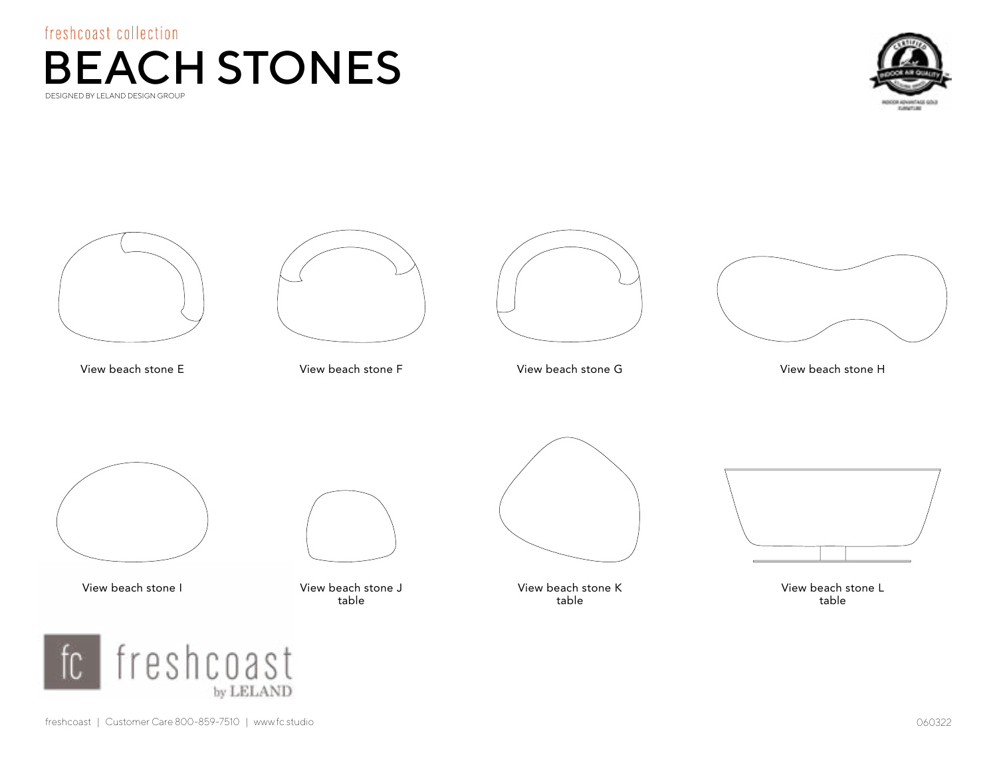<span id="page-0-0"></span>



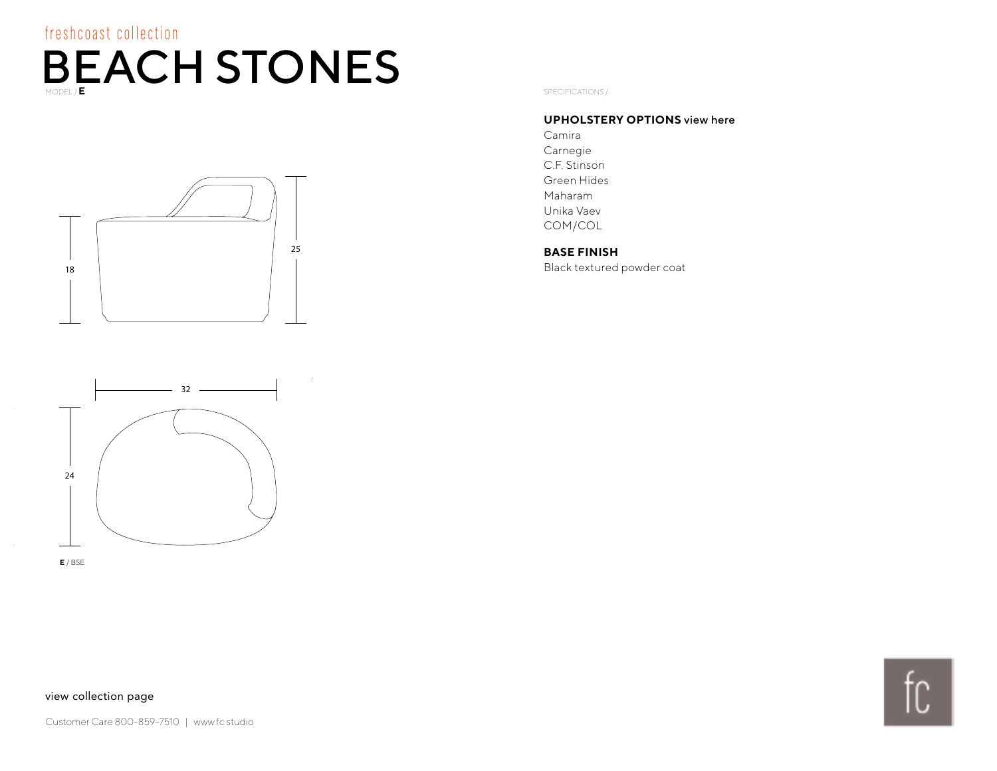<span id="page-1-0"></span>



#### **UPHOLSTERY OPTIONS** [view here](http://fc.studio/textile-partners/)

Camira Carnegie C.F. Stinson Green Hides Maharam Unika Vaev COM/COL

#### **BASE FINISH**

Black textured powder coat



**E** / BSE

#### [view collection page](#page-0-0)

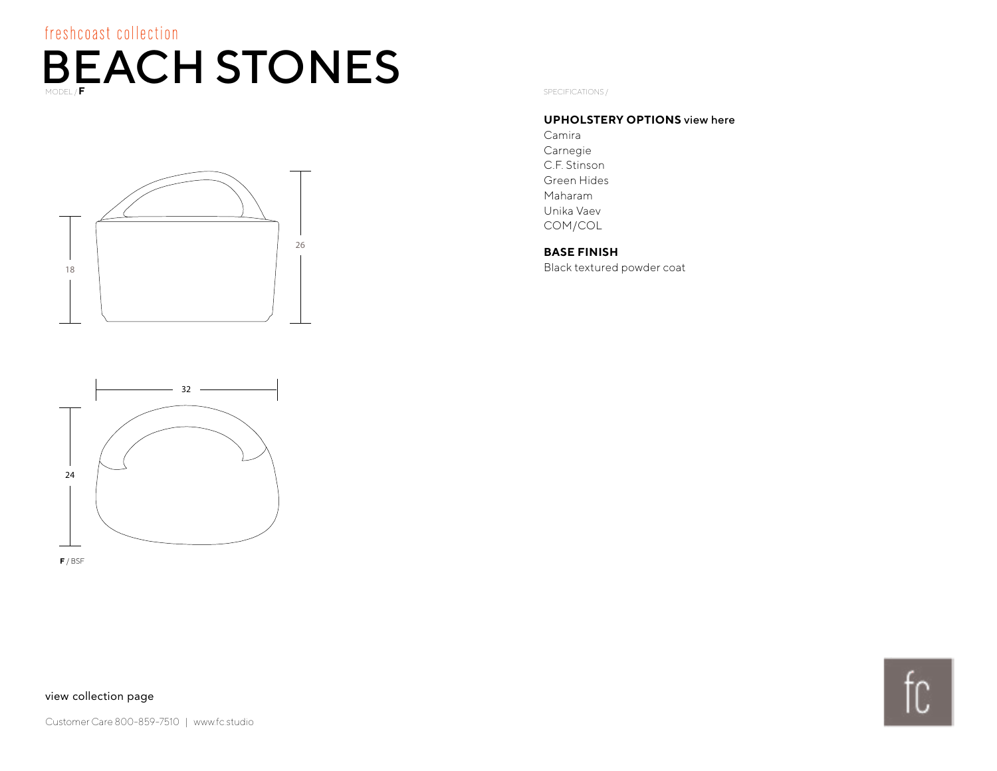<span id="page-2-0"></span>

SPECIFICATIONS /

#### **UPHOLSTERY OPTIONS** [view here](http://lelandinternational.com/textile-partners/)

Camira Carnegie C.F. Stinson Green Hides Maharam Unika Vaev COM/COL

#### **BASE FINISH**

Black textured powder coat



**F** / BSF

#### [view collection page](#page-0-0)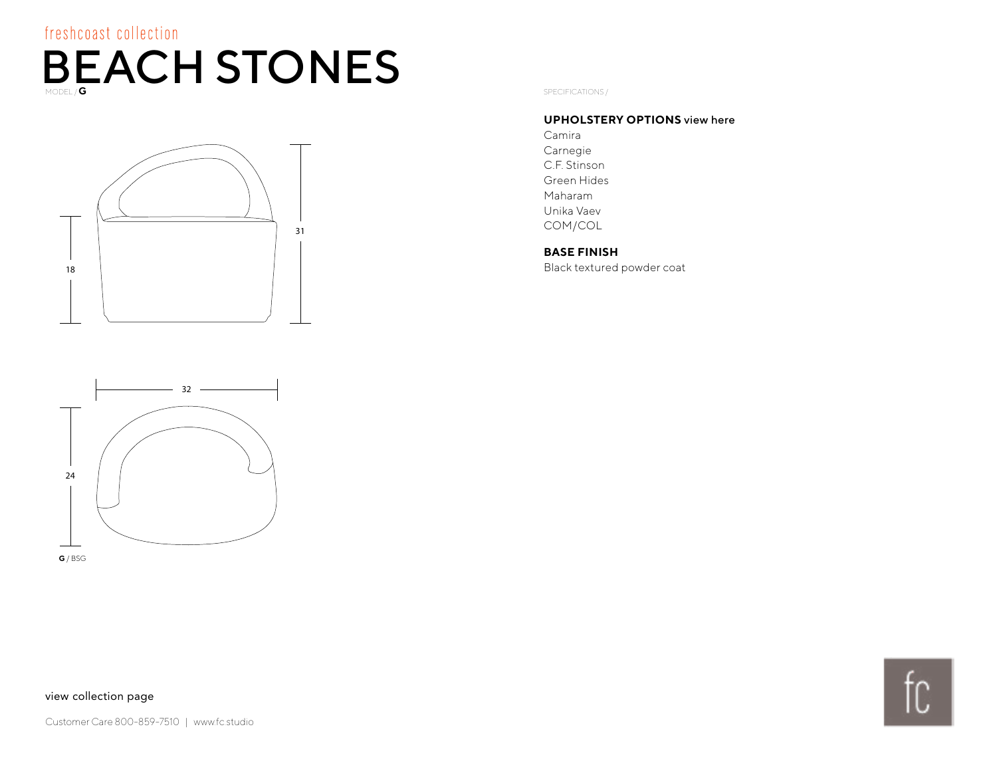<span id="page-3-0"></span>

SPECIFICATIONS /

#### **UPHOLSTERY OPTIONS** [view here](http://fc.studio/textile-partners/)

Camira Carnegie C.F. Stinson Green Hides Maharam Unika Vaev COM/COL

#### **BASE FINISH**

Black textured powder coat



**G** / BSG

#### [view collection page](#page-0-0)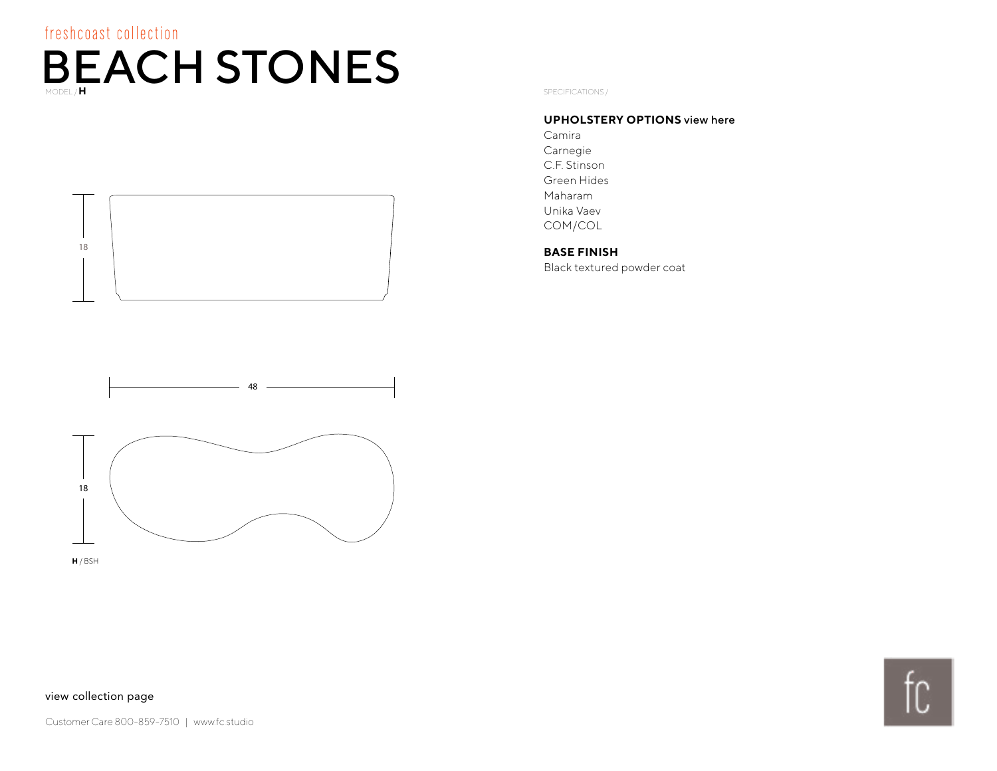<span id="page-4-0"></span>

#### **UPHOLSTERY OPTIONS** [view here](http://fc.studio/textile-partners/)

Camira Carnegie C.F. Stinson Green Hides Maharam Unika Vaev COM/COL

#### **BASE FINISH**

Black textured powder coat



18

**H** / BSH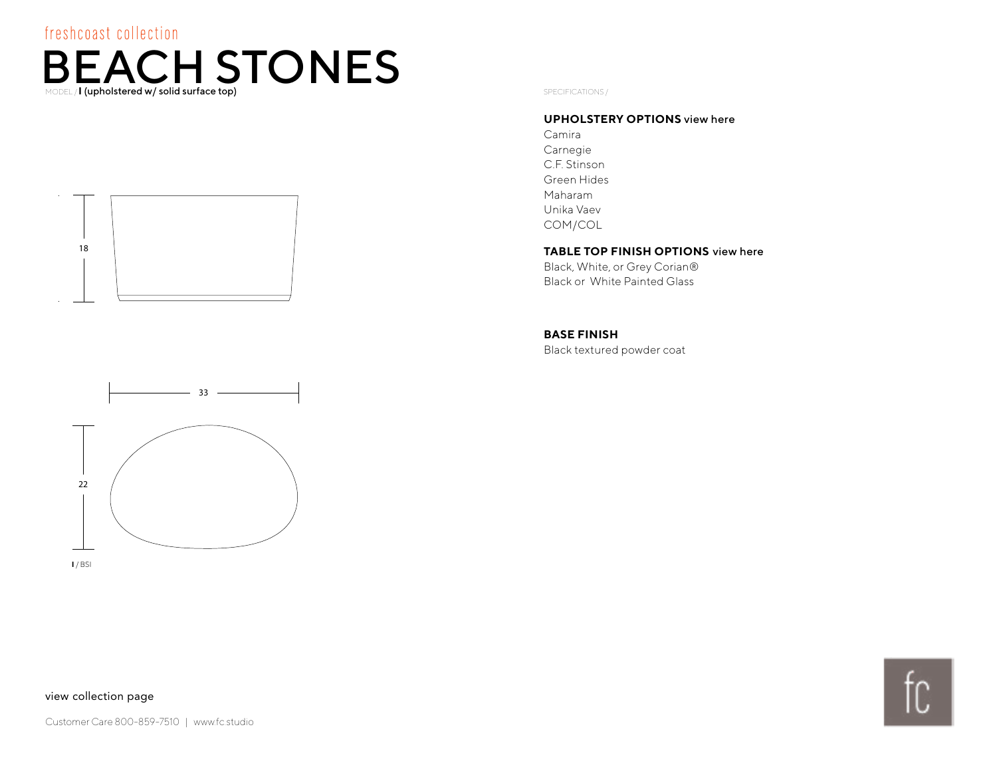### <span id="page-5-0"></span>freshcoast collection  $\mathsf{BEACH}_{\mathsf{SDEAL}}$  **I**  $\mathsf{STONS}$  **SPECIFICATIONS**





**I** / BSI

#### **UPHOLSTERY OPTIONS** [view here](http://fc.studio/textile-partners/)

Camira Carnegie C.F. Stinson Green Hides Maharam Unika Vaev COM/COL

#### **TABLE TOP FINISH OPTIONS** [view here](#page-9-0)

Black, White, or Grey Corian® Black or White Painted Glass

#### **BASE FINISH**

Black textured powder coat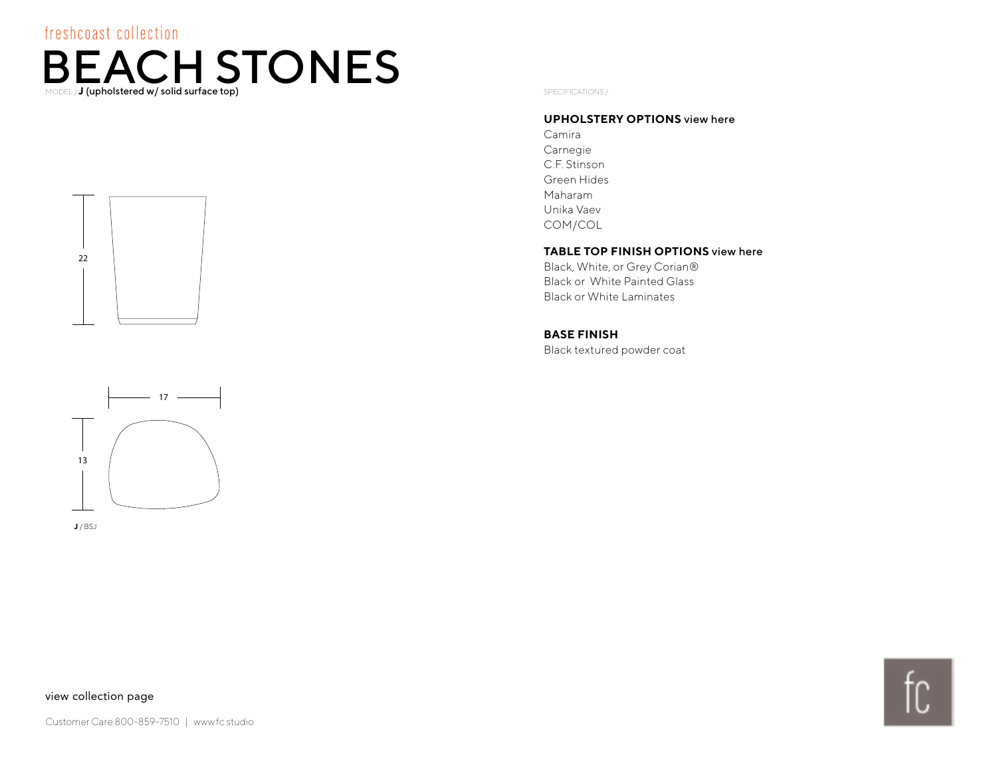### <span id="page-6-0"></span>freshcoast collection  $\mathsf{BEACH}_{\mathsf{SDELLJ}}$  (upholstered w/ solid surface top)





**J** / BSJ

#### **UPHOLSTERY OPTIONS** [view here](http://fc.studio/textile-partners/)

Camira Carnegie C.F. Stinson Green Hides Maharam Unika Vaev COM/COL

#### **TABLE TOP FINISH OPTIONS** [view here](#page-9-0)

Black, White, or Grey Corian® Black or White Painted Glass Black or White Laminates

#### **BASE FINISH**

Black textured powder coat

#### [view collection page](#page-0-0)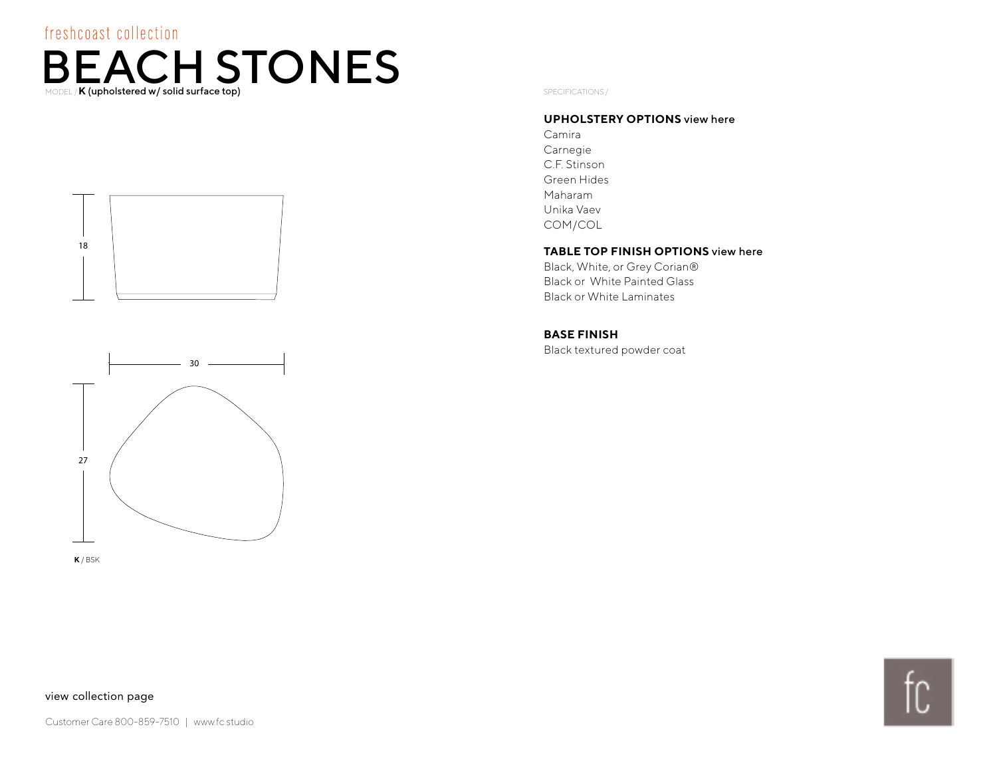### <span id="page-7-0"></span>freshcoast collection  $\mathbf{B} \mathbf{E} \mathbf{A} \mathbf{C} \mathbf{H} \mathbf{S} \mathbf{TO} \mathbf{N} \mathbf{E} \mathbf{S}$





**K** / BSK

#### **UPHOLSTERY OPTIONS** [view here](http://fc.studio/textile-partners/)

Camira Carnegie C.F. Stinson Green Hides Maharam Unika Vaev COM/COL

#### **TABLE TOP FINISH OPTIONS** [view here](#page-9-0)

Black, White, or Grey Corian® Black or White Painted Glass Black or White Laminates

#### **BASE FINISH**

Black textured powder coat

#### [view collection page](#page-0-0)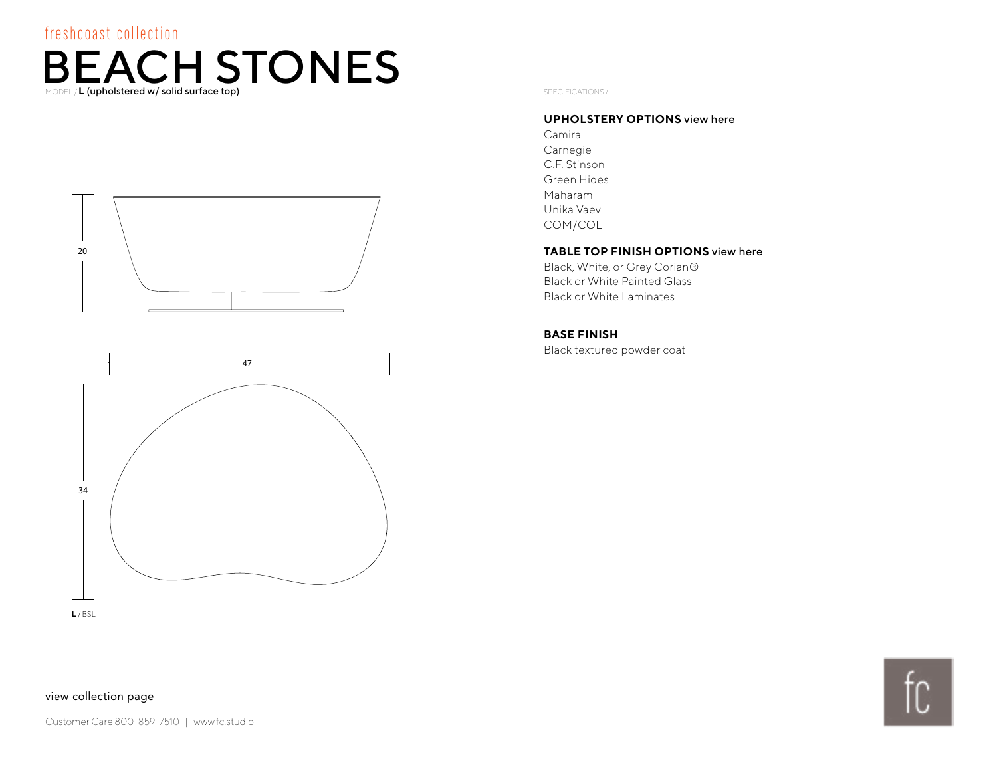### <span id="page-8-0"></span>freshcoast collection

# $\mathsf{BEACH}_{\mathsf{SDEAL}}$  **L**  $\mathsf{STONES}$  **SPECIFICATIONS**



#### **UPHOLSTERY OPTIONS** [view here](http://fc.studio/textile-partners/)

Camira Carnegie C.F. Stinson Green Hides Maharam Unika Vaev COM/COL

#### **TABLE TOP FINISH OPTIONS** [view here](#page-9-0)

Black, White, or Grey Corian® Black or White Painted Glass Black or White Laminates

#### **BASE FINISH**

Black textured powder coat

**L** / BSL

[view collection page](#page-0-0)